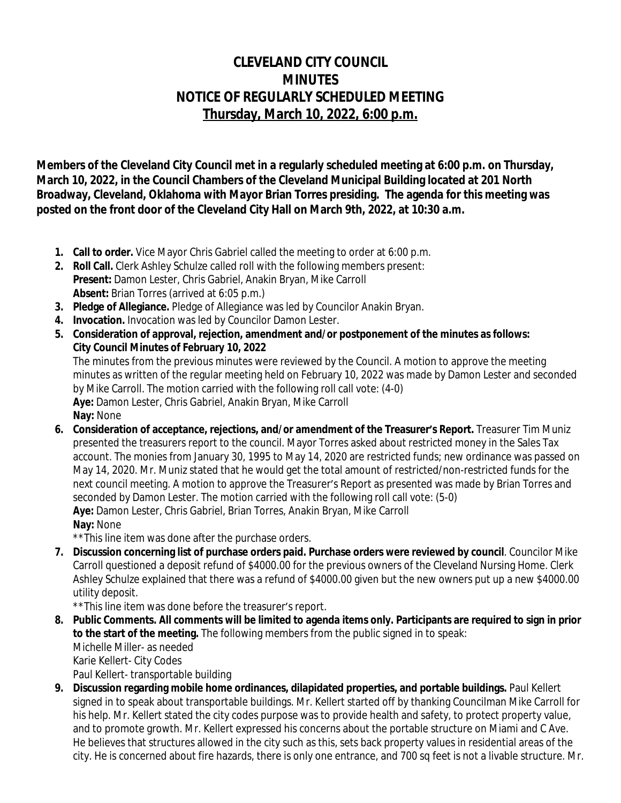# **CLEVELAND CITY COUNCIL MINUTES NOTICE OF REGULARLY SCHEDULED MEETING Thursday, March 10, 2022, 6:00 p.m.**

**Members of the Cleveland City Council met in a regularly scheduled meeting at 6:00 p.m. on Thursday, March 10, 2022, in the Council Chambers of the Cleveland Municipal Building located at 201 North Broadway, Cleveland, Oklahoma with Mayor Brian Torres presiding. The agenda for this meeting was posted on the front door of the Cleveland City Hall on March 9th, 2022, at 10:30 a.m.**

- **1. Call to order.** Vice Mayor Chris Gabriel called the meeting to order at 6:00 p.m.
- **2. Roll Call.** Clerk Ashley Schulze called roll with the following members present: **Present:** Damon Lester, Chris Gabriel, Anakin Bryan, Mike Carroll **Absent:** Brian Torres (arrived at 6:05 p.m.)
- **3. Pledge of Allegiance.** Pledge of Allegiance was led by Councilor Anakin Bryan.
- **4. Invocation.** Invocation was led by Councilor Damon Lester.
- **5. Consideration of approval, rejection, amendment and/or postponement of the minutes as follows: City Council Minutes of February 10, 2022**

The minutes from the previous minutes were reviewed by the Council. A motion to approve the meeting minutes as written of the regular meeting held on February 10, 2022 was made by Damon Lester and seconded by Mike Carroll. The motion carried with the following roll call vote: (4-0) **Aye:** Damon Lester, Chris Gabriel, Anakin Bryan, Mike Carroll **Nay:** None

**6. Consideration of acceptance, rejections, and/or amendment of the Treasurer's Report.** Treasurer Tim Muniz presented the treasurers report to the council. Mayor Torres asked about restricted money in the Sales Tax account. The monies from January 30, 1995 to May 14, 2020 are restricted funds; new ordinance was passed on May 14, 2020. Mr. Muniz stated that he would get the total amount of restricted/non-restricted funds for the next council meeting. A motion to approve the Treasurer's Report as presented was made by Brian Torres and seconded by Damon Lester. The motion carried with the following roll call vote: (5-0) **Aye:** Damon Lester, Chris Gabriel, Brian Torres, Anakin Bryan, Mike Carroll **Nay:** None

\*\*This line item was done after the purchase orders.

**7. Discussion concerning list of purchase orders paid. Purchase orders were reviewed by council**. Councilor Mike Carroll questioned a deposit refund of \$4000.00 for the previous owners of the Cleveland Nursing Home. Clerk Ashley Schulze explained that there was a refund of \$4000.00 given but the new owners put up a new \$4000.00 utility deposit.

\*\*This line item was done before the treasurer's report.

- **8. Public Comments. All comments will be limited to agenda items only. Participants are required to sign in prior to the start of the meeting.** The following members from the public signed in to speak: Michelle Miller- as needed Karie Kellert- City Codes Paul Kellert- transportable building
- **9. Discussion regarding mobile home ordinances, dilapidated properties, and portable buildings.** Paul Kellert signed in to speak about transportable buildings. Mr. Kellert started off by thanking Councilman Mike Carroll for his help. Mr. Kellert stated the city codes purpose was to provide health and safety, to protect property value, and to promote growth. Mr. Kellert expressed his concerns about the portable structure on Miami and C Ave. He believes that structures allowed in the city such as this, sets back property values in residential areas of the city. He is concerned about fire hazards, there is only one entrance, and 700 sq feet is not a livable structure. Mr.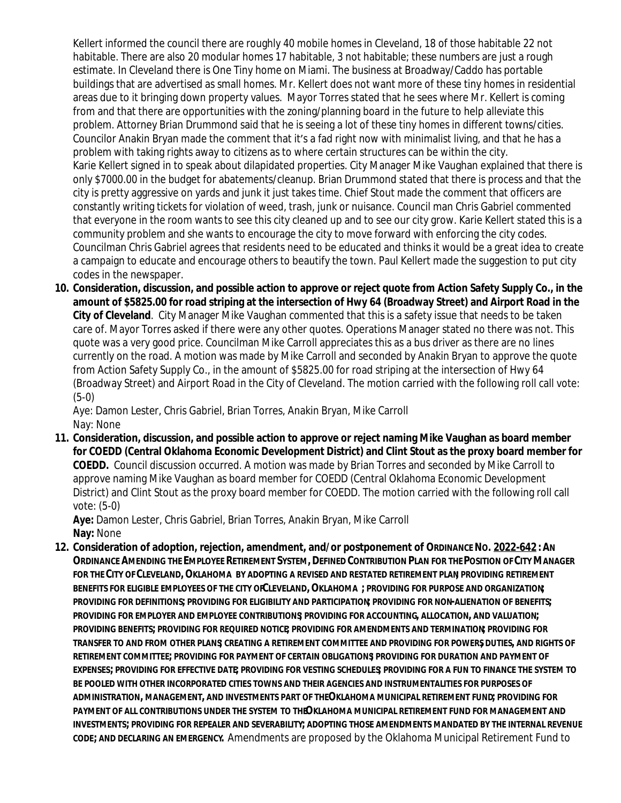Kellert informed the council there are roughly 40 mobile homes in Cleveland, 18 of those habitable 22 not habitable. There are also 20 modular homes 17 habitable, 3 not habitable; these numbers are just a rough estimate. In Cleveland there is One Tiny home on Miami. The business at Broadway/Caddo has portable buildings that are advertised as small homes. Mr. Kellert does not want more of these tiny homes in residential areas due to it bringing down property values. Mayor Torres stated that he sees where Mr. Kellert is coming from and that there are opportunities with the zoning/planning board in the future to help alleviate this problem. Attorney Brian Drummond said that he is seeing a lot of these tiny homes in different towns/cities. Councilor Anakin Bryan made the comment that it's a fad right now with minimalist living, and that he has a problem with taking rights away to citizens as to where certain structures can be within the city. Karie Kellert signed in to speak about dilapidated properties. City Manager Mike Vaughan explained that there is only \$7000.00 in the budget for abatements/cleanup. Brian Drummond stated that there is process and that the city is pretty aggressive on yards and junk it just takes time. Chief Stout made the comment that officers are constantly writing tickets for violation of weed, trash, junk or nuisance. Council man Chris Gabriel commented that everyone in the room wants to see this city cleaned up and to see our city grow. Karie Kellert stated this is a community problem and she wants to encourage the city to move forward with enforcing the city codes. Councilman Chris Gabriel agrees that residents need to be educated and thinks it would be a great idea to create a campaign to educate and encourage others to beautify the town. Paul Kellert made the suggestion to put city codes in the newspaper.

**10. Consideration, discussion, and possible action to approve or reject quote from Action Safety Supply Co., in the amount of \$5825.00 for road striping at the intersection of Hwy 64 (Broadway Street) and Airport Road in the City of Cleveland**. City Manager Mike Vaughan commented that this is a safety issue that needs to be taken care of. Mayor Torres asked if there were any other quotes. Operations Manager stated no there was not. This quote was a very good price. Councilman Mike Carroll appreciates this as a bus driver as there are no lines currently on the road. A motion was made by Mike Carroll and seconded by Anakin Bryan to approve the quote from Action Safety Supply Co., in the amount of \$5825.00 for road striping at the intersection of Hwy 64 (Broadway Street) and Airport Road in the City of Cleveland. The motion carried with the following roll call vote: (5-0)

Aye: Damon Lester, Chris Gabriel, Brian Torres, Anakin Bryan, Mike Carroll Nay: None

**11. Consideration, discussion, and possible action to approve or reject naming Mike Vaughan as board member for COEDD (Central Oklahoma Economic Development District) and Clint Stout as the proxy board member for COEDD.** Council discussion occurred. A motion was made by Brian Torres and seconded by Mike Carroll to approve naming Mike Vaughan as board member for COEDD (Central Oklahoma Economic Development District) and Clint Stout as the proxy board member for COEDD. The motion carried with the following roll call vote: (5-0)

**Aye:** Damon Lester, Chris Gabriel, Brian Torres, Anakin Bryan, Mike Carroll **Nay:** None

**12. Consideration of adoption, rejection, amendment, and/or postponement of ORDINANCE NO. 2022-642 :AN**  ORDINANCE AMENDING THE EMPLOYEE RETIREMENT SYSTEM, DEFINED CONTRIBUTION PLAN FOR THE POSITION OF CITY MANAGER **FOR THE CITY OF CLEVELAND,OKLAHOMA BY ADOPTING A REVISED AND RESTATED RETIREMENT PLAN; PROVIDING RETIREMENT BENEFITS FOR ELIGIBLE EMPLOYEES OF THE CITY OF CLEVELAND,OKLAHOMA ; PROVIDING FOR PURPOSE AND ORGANIZATION; PROVIDING FOR DEFINITIONS; PROVIDING FOR ELIGIBILITY AND PARTICIPATION; PROVIDING FOR NON-ALIENATION OF BENEFITS; PROVIDING FOR EMPLOYER AND EMPLOYEE CONTRIBUTIONS; PROVIDING FOR ACCOUNTING, ALLOCATION, AND VALUATION; PROVIDING BENEFITS; PROVIDING FOR REQUIRED NOTICE; PROVIDING FOR AMENDMENTS AND TERMINATION; PROVIDING FOR TRANSFER TO AND FROM OTHER PLANS; CREATING A RETIREMENT COMMITTEE AND PROVIDING FOR POWERS, DUTIES, AND RIGHTS OF RETIREMENT COMMITTEE; PROVIDING FOR PAYMENT OF CERTAIN OBLIGATIONS; PROVIDING FOR DURATION AND PAYMENT OF EXPENSES; PROVIDING FOR EFFECTIVE DATE; PROVIDING FOR VESTING SCHEDULES; PROVIDING FOR A FUN TO FINANCE THE SYSTEM TO BE POOLED WITH OTHER INCORPORATED CITIES TOWNS AND THEIR AGENCIES AND INSTRUMENTALITIES FOR PURPOSES OF ADMINISTRATION, MANAGEMENT, AND INVESTMENTS PART OF THE OKLAHOMA MUNICIPAL RETIREMENT FUND; PROVIDING FOR**  PAYMENT OF ALL CONTRIBUTIONS UNDER THE SYSTEM TO THEOKLAHOMA MUNICIPAL RETIREMENT FUND FOR MANAGEMENT AND **INVESTMENTS; PROVIDING FOR REPEALER AND SEVERABILITY; ADOPTING THOSE AMENDMENTS MANDATED BY THE INTERNAL REVENUE CODE; AND DECLARING AN EMERGENCY.** Amendments are proposed by the Oklahoma Municipal Retirement Fund to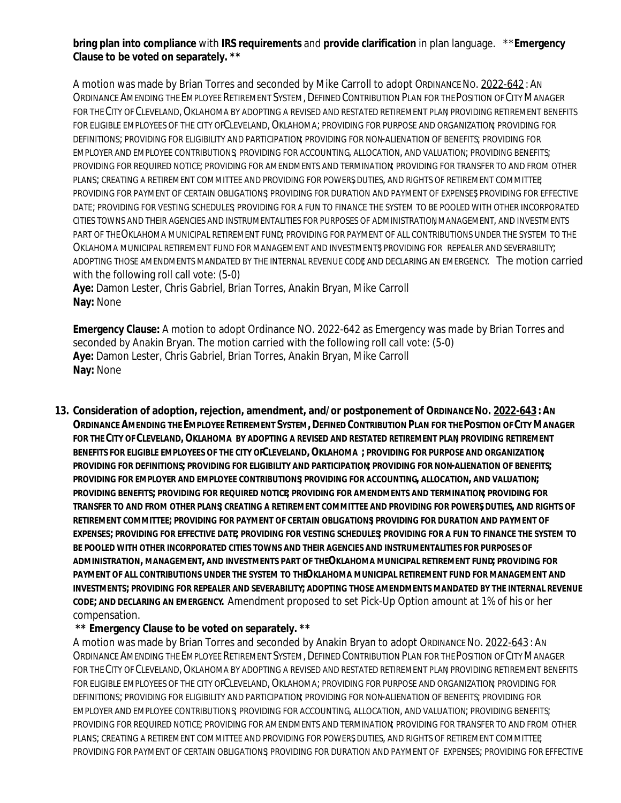## **bring plan into compliance** with **IRS requirements** and **provide clarification** in plan language. \*\***Emergency Clause to be voted on separately. \*\***

A motion was made by Brian Torres and seconded by Mike Carroll to adopt ORDINANCE No. 2022-642: AN ORDINANCE AMENDING THE EMPLOYEE RETIREMENT SYSTEM, DEFINED CONTRIBUTION PLAN FOR THE POSITION OF CITY MANAGER FOR THE CITY OF CLEVELAND, OKLAHOMA BY ADOPTING A REVISED AND RESTATED RETIREMENT PLAN PROVIDING RETIREMENT BENEFITS FOR ELIGIBLE EMPLOYEES OF THE CITY OF CLEVELAND, OKLAHOMA: PROVIDING FOR PURPOSE AND ORGANIZATION PROVIDING FOR DEFINITIONS; PROVIDING FOR ELIGIBILITY AND PARTICIPATION; PROVIDING FOR NON-ALIENATION OF BENEFITS; PROVIDING FOR EMPLOYER AND EMPLOYEE CONTRIBUTIONS; PROVIDING FOR ACCOUNTING, ALLOCATION, AND VALUATION; PROVIDING BENEFITS; PROVIDING FOR REQUIRED NOTICE; PROVIDING FOR AMENDMENTS AND TERMINATION; PROVIDING FOR TRANSFER TO AND FROM OTHER PLANS; CREATING A RETIREMENT COMMITTEE AND PROVIDING FOR POWERS, DUTIES, AND RIGHTS OF RETIREMENT COMMITTEE; PROVIDING FOR PAYMENT OF CERTAIN OBLIGATIONS PROVIDING FOR DURATION AND PAYMENT OF EXPENSES PROVIDING FOR EFFECTIVE DATE; PROVIDING FOR VESTING SCHEDULES; PROVIDING FOR A FUN TO FINANCE THE SYSTEM TO BE POOLED WITH OTHER INCORPORATED CITIES TOWNS AND THEIR AGENCIES AND INSTRUMENTALITIES FOR PURPOSES OF ADMINISTRATION, MANAGEMENT, AND INVESTMENTS PART OF THE OKLAHOMA MUNICIPAL RETIREMENT FUND; PROVIDING FOR PAYMENT OF ALL CONTRIBUTIONS UNDER THE SYSTEM TO THE OKLAHOMA MUNICIPAL RETIREMENT FUND FOR MANAGEMENT AND INVESTMENTS PROVIDING FOR REPEALER AND SEVERABILITY; ADOPTING THOSE AMENDMENTS MANDATED BY THE INTERNAL REVENUE CODE AND DECLARING AN EMERGENCY. The motion carried with the following roll call vote: (5-0)

**Aye:** Damon Lester, Chris Gabriel, Brian Torres, Anakin Bryan, Mike Carroll **Nay:** None

**Emergency Clause:** A motion to adopt Ordinance NO. 2022-642 as Emergency was made by Brian Torres and seconded by Anakin Bryan. The motion carried with the following roll call vote: (5-0) **Aye:** Damon Lester, Chris Gabriel, Brian Torres, Anakin Bryan, Mike Carroll **Nay:** None

**13. Consideration of adoption, rejection, amendment, and/or postponement of ORDINANCE NO. 2022-643 :AN**  ORDINANCE AMENDING THE EMPLOYEE RETIREMENT SYSTEM, DEFINED CONTRIBUTION PLAN FOR THE POSITION OF CITY MANAGER **FOR THE CITY OF CLEVELAND,OKLAHOMA BY ADOPTING A REVISED AND RESTATED RETIREMENT PLAN; PROVIDING RETIREMENT BENEFITS FOR ELIGIBLE EMPLOYEES OF THE CITY OF CLEVELAND,OKLAHOMA ; PROVIDING FOR PURPOSE AND ORGANIZATION; PROVIDING FOR DEFINITIONS; PROVIDING FOR ELIGIBILITY AND PARTICIPATION; PROVIDING FOR NON-ALIENATION OF BENEFITS; PROVIDING FOR EMPLOYER AND EMPLOYEE CONTRIBUTIONS; PROVIDING FOR ACCOUNTING, ALLOCATION, AND VALUATION; PROVIDING BENEFITS; PROVIDING FOR REQUIRED NOTICE; PROVIDING FOR AMENDMENTS AND TERMINATION; PROVIDING FOR TRANSFER TO AND FROM OTHER PLANS; CREATING A RETIREMENT COMMITTEE AND PROVIDING FOR POWERS, DUTIES, AND RIGHTS OF RETIREMENT COMMITTEE; PROVIDING FOR PAYMENT OF CERTAIN OBLIGATIONS; PROVIDING FOR DURATION AND PAYMENT OF EXPENSES; PROVIDING FOR EFFECTIVE DATE; PROVIDING FOR VESTING SCHEDULES; PROVIDING FOR A FUN TO FINANCE THE SYSTEM TO BE POOLED WITH OTHER INCORPORATED CITIES TOWNS AND THEIR AGENCIES AND INSTRUMENTALITIES FOR PURPOSES OF ADMINISTRATION, MANAGEMENT, AND INVESTMENTS PART OF THE OKLAHOMA MUNICIPAL RETIREMENT FUND; PROVIDING FOR**  PAYMENT OF ALL CONTRIBUTIONS UNDER THE SYSTEM TO THEOKLAHOMA MUNICIPAL RETIREMENT FUND FOR MANAGEMENT AND **INVESTMENTS; PROVIDING FOR REPEALER AND SEVERABILITY; ADOPTING THOSE AMENDMENTS MANDATED BY THE INTERNAL REVENUE CODE; AND DECLARING AN EMERGENCY.** Amendment proposed to set Pick-Up Option amount at 1% of his or her compensation.

#### **\*\* Emergency Clause to be voted on separately. \*\***

A motion was made by Brian Torres and seconded by Anakin Bryan to adopt ORDINANCE No. 2022-643: AN ORDINANCE AMENDING THE EMPLOYEE RETIREMENT SYSTEM, DEFINED CONTRIBUTION PLAN FOR THE POSITION OF CITY MANAGER FOR THE CITY OF CLEVELAND, OKLAHOMA BY ADOPTING A REVISED AND RESTATED RETIREMENT PLAN PROVIDING RETIREMENT BENEFITS FOR ELIGIBLE EMPLOYEES OF THE CITY OF CLEVELAND, OKLAHOMA; PROVIDING FOR PURPOSE AND ORGANIZATION PROVIDING FOR DEFINITIONS; PROVIDING FOR ELIGIBILITY AND PARTICIPATION; PROVIDING FOR NON-ALIENATION OF BENEFITS; PROVIDING FOR EMPLOYER AND EMPLOYEE CONTRIBUTIONS; PROVIDING FOR ACCOUNTING, ALLOCATION, AND VALUATION; PROVIDING BENEFITS; PROVIDING FOR REQUIRED NOTICE; PROVIDING FOR AMENDMENTS AND TERMINATION; PROVIDING FOR TRANSFER TO AND FROM OTHER PLANS; CREATING A RETIREMENT COMMITTEE AND PROVIDING FOR POWERS DUTIES. AND RIGHTS OF RETIREMENT COMMITTEE PROVIDING FOR PAYMENT OF CERTAIN OBLIGATIONS; PROVIDING FOR DURATION AND PAYMENT OF EXPENSES; PROVIDING FOR EFFECTIVE